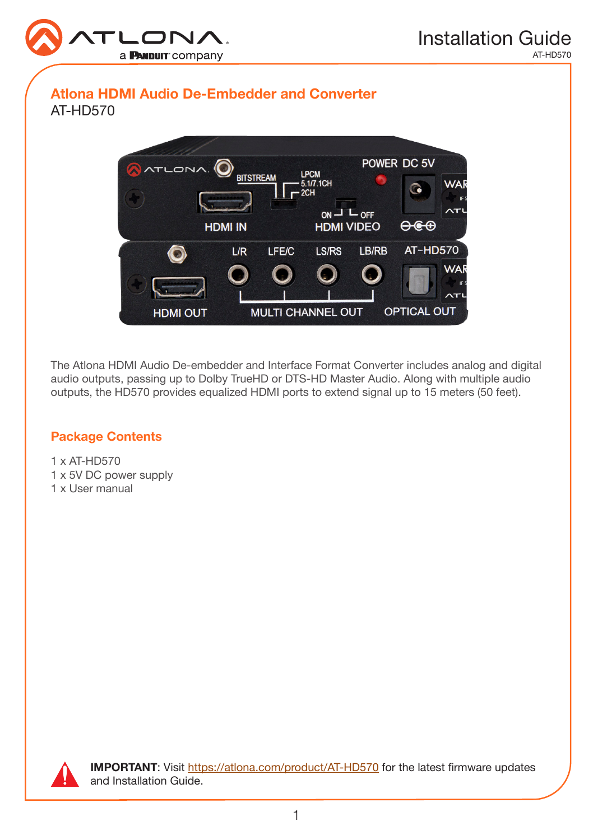

# Atlona HDMI Audio De-Embedder and Converter AT-HD570



The Atlona HDMI Audio De-embedder and Interface Format Converter includes analog and digital audio outputs, passing up to Dolby TrueHD or DTS-HD Master Audio. Along with multiple audio outputs, the HD570 provides equalized HDMI ports to extend signal up to 15 meters (50 feet).

### Package Contents

1 x AT-HD570 1 x 5V DC power supply 1 x User manual



IMPORTANT: Visit [https://atlona.com/product/AT-](http://www.atlona.com/product/AT-HD570)HD570 for the latest firmware updates and Installation Guide.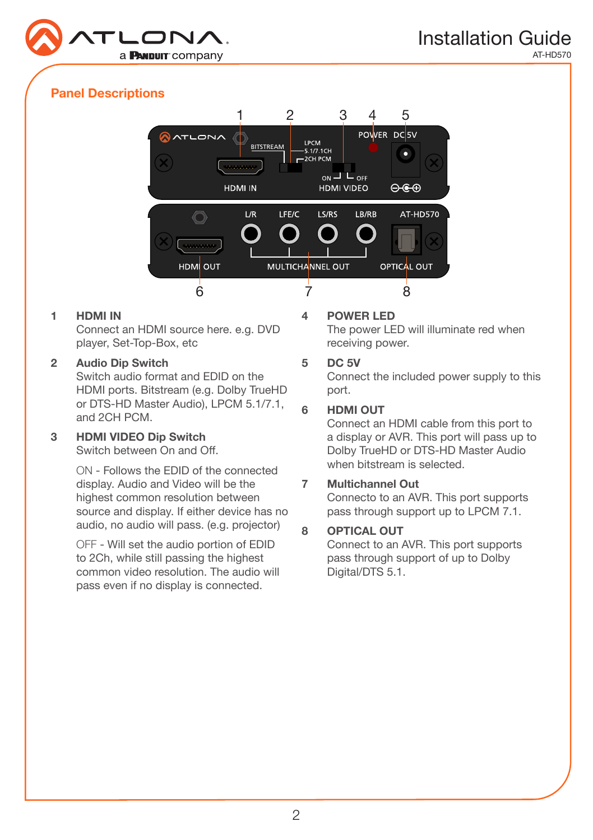

# Panel Descriptions



### 1 HDMI IN

Connect an HDMI source here. e.g. DVD player, Set-Top-Box, etc

### 2 Audio Dip Switch

Switch audio format and EDID on the HDMI ports. Bitstream (e.g. Dolby TrueHD or DTS-HD Master Audio), LPCM 5.1/7.1, and 2CH PCM.

# 3 HDMI VIDEO Dip Switch

Switch between On and Off.

ON - Follows the EDID of the connected display. Audio and Video will be the highest common resolution between source and display. If either device has no audio, no audio will pass. (e.g. projector)

OFF - Will set the audio portion of EDID to 2Ch, while still passing the highest common video resolution. The audio will pass even if no display is connected.

### 4 POWER LED

The power LED will illuminate red when receiving power.

### 5 DC 5V

Connect the included power supply to this port.

### 6 HDMI OUT

Connect an HDMI cable from this port to a display or AVR. This port will pass up to Dolby TrueHD or DTS-HD Master Audio when bitstream is selected.

### 7 Multichannel Out

Connecto to an AVR. This port supports pass through support up to LPCM 7.1.

# 8 OPTICAL OUT

Connect to an AVR. This port supports pass through support of up to Dolby Digital/DTS 5.1.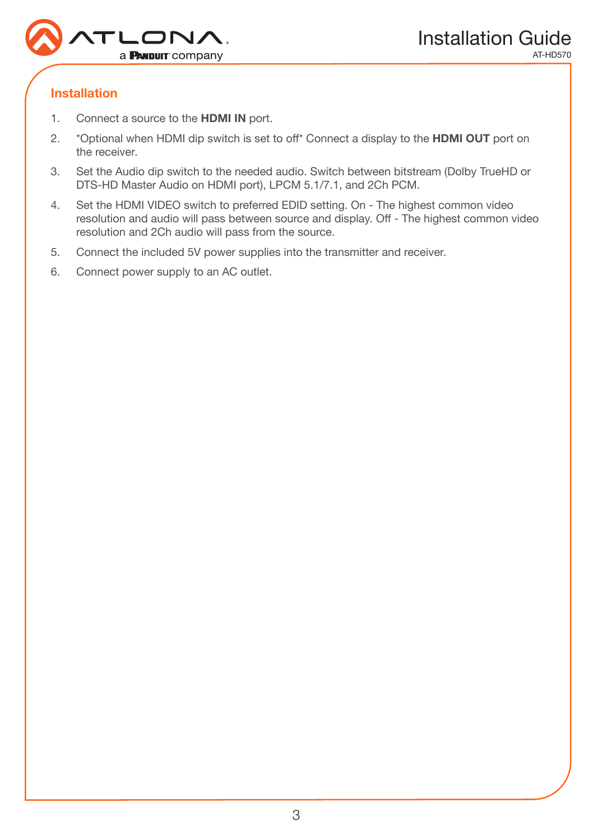

# Installation

- 1. Connect a source to the HDMI IN port.
- 2. \*Optional when HDMI dip switch is set to off\* Connect a display to the **HDMI OUT** port on the receiver.
- 3. Set the Audio dip switch to the needed audio. Switch between bitstream (Dolby TrueHD or DTS-HD Master Audio on HDMI port), LPCM 5.1/7.1, and 2Ch PCM.
- 4. Set the HDMI VIDEO switch to preferred EDID setting. On The highest common video resolution and audio will pass between source and display. Off - The highest common video resolution and 2Ch audio will pass from the source.
- 5. Connect the included 5V power supplies into the transmitter and receiver.
- 6. Connect power supply to an AC outlet.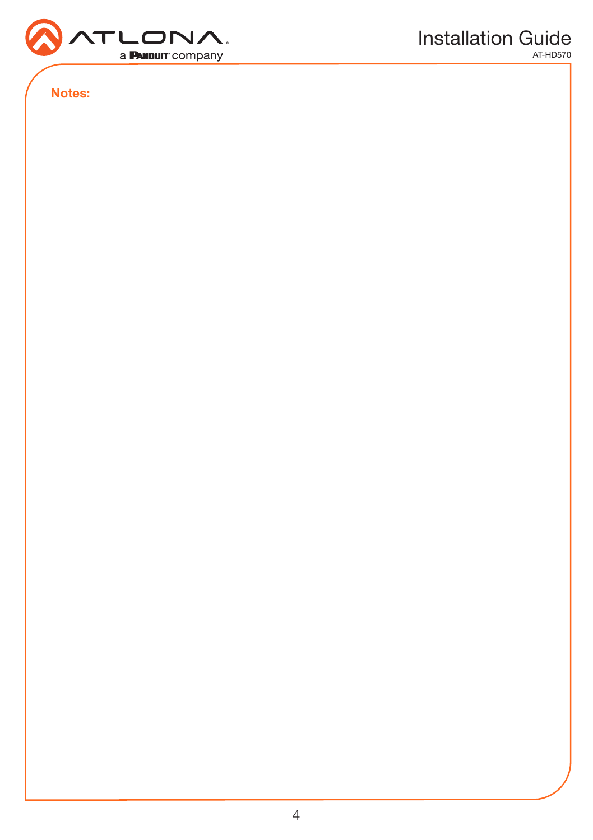

Notes: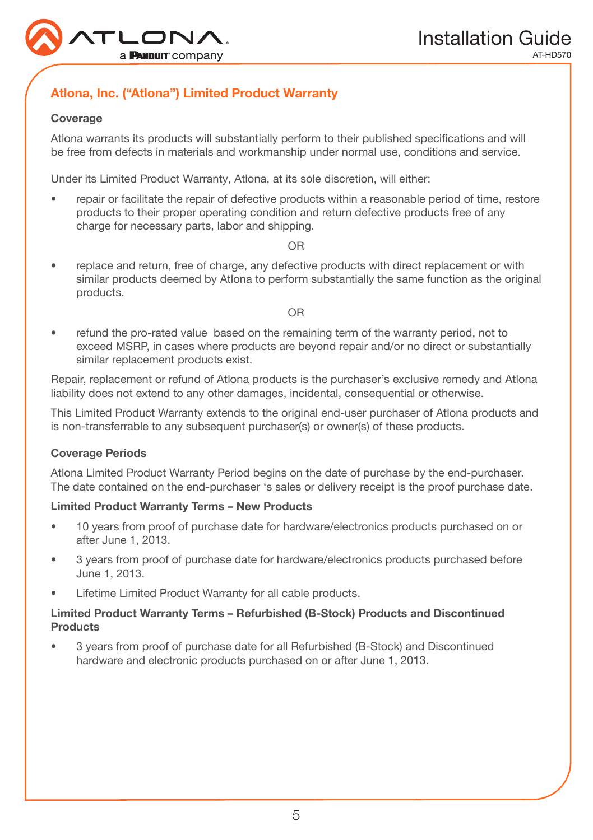

# Atlona, Inc. ("Atlona") Limited Product Warranty

### Coverage

Atlona warrants its products will substantially perform to their published specifications and will be free from defects in materials and workmanship under normal use, conditions and service.

Under its Limited Product Warranty, Atlona, at its sole discretion, will either:

• repair or facilitate the repair of defective products within a reasonable period of time, restore products to their proper operating condition and return defective products free of any charge for necessary parts, labor and shipping.

OR

• replace and return, free of charge, any defective products with direct replacement or with similar products deemed by Atlona to perform substantially the same function as the original products.

#### OR

• refund the pro-rated value based on the remaining term of the warranty period, not to exceed MSRP, in cases where products are beyond repair and/or no direct or substantially similar replacement products exist.

Repair, replacement or refund of Atlona products is the purchaser's exclusive remedy and Atlona liability does not extend to any other damages, incidental, consequential or otherwise.

This Limited Product Warranty extends to the original end-user purchaser of Atlona products and is non-transferrable to any subsequent purchaser(s) or owner(s) of these products.

#### Coverage Periods

Atlona Limited Product Warranty Period begins on the date of purchase by the end-purchaser. The date contained on the end-purchaser 's sales or delivery receipt is the proof purchase date.

### Limited Product Warranty Terms – New Products

- 10 years from proof of purchase date for hardware/electronics products purchased on or after June 1, 2013.
- 3 years from proof of purchase date for hardware/electronics products purchased before June 1, 2013.
- Lifetime Limited Product Warranty for all cable products.

### Limited Product Warranty Terms – Refurbished (B-Stock) Products and Discontinued **Products**

• 3 years from proof of purchase date for all Refurbished (B-Stock) and Discontinued hardware and electronic products purchased on or after June 1, 2013.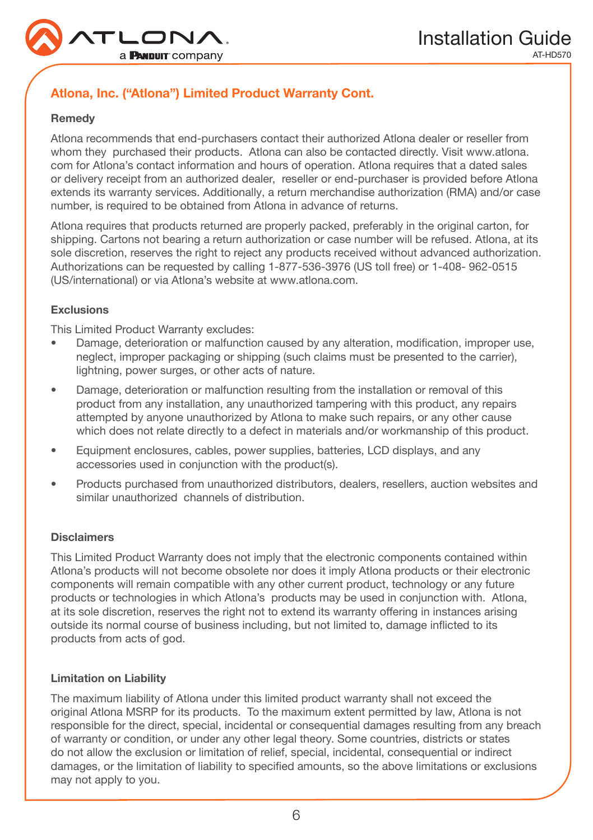

# Atlona, Inc. ("Atlona") Limited Product Warranty Cont.

#### Remedy

Atlona recommends that end-purchasers contact their authorized Atlona dealer or reseller from whom they purchased their products. Atlona can also be contacted directly. Visit www.atlona. com for Atlona's contact information and hours of operation. Atlona requires that a dated sales or delivery receipt from an authorized dealer, reseller or end-purchaser is provided before Atlona extends its warranty services. Additionally, a return merchandise authorization (RMA) and/or case number, is required to be obtained from Atlona in advance of returns.

Atlona requires that products returned are properly packed, preferably in the original carton, for shipping. Cartons not bearing a return authorization or case number will be refused. Atlona, at its sole discretion, reserves the right to reject any products received without advanced authorization. Authorizations can be requested by calling 1-877-536-3976 (US toll free) or 1-408- 962-0515 (US/international) or via Atlona's website at www.atlona.com.

#### **Exclusions**

This Limited Product Warranty excludes:

- Damage, deterioration or malfunction caused by any alteration, modification, improper use, neglect, improper packaging or shipping (such claims must be presented to the carrier), lightning, power surges, or other acts of nature.
- Damage, deterioration or malfunction resulting from the installation or removal of this product from any installation, any unauthorized tampering with this product, any repairs attempted by anyone unauthorized by Atlona to make such repairs, or any other cause which does not relate directly to a defect in materials and/or workmanship of this product.
- Equipment enclosures, cables, power supplies, batteries, LCD displays, and any accessories used in conjunction with the product(s).
- Products purchased from unauthorized distributors, dealers, resellers, auction websites and similar unauthorized channels of distribution.

#### **Disclaimers**

This Limited Product Warranty does not imply that the electronic components contained within Atlona's products will not become obsolete nor does it imply Atlona products or their electronic components will remain compatible with any other current product, technology or any future products or technologies in which Atlona's products may be used in conjunction with. Atlona, at its sole discretion, reserves the right not to extend its warranty offering in instances arising outside its normal course of business including, but not limited to, damage inflicted to its products from acts of god.

#### Limitation on Liability

The maximum liability of Atlona under this limited product warranty shall not exceed the original Atlona MSRP for its products. To the maximum extent permitted by law, Atlona is not responsible for the direct, special, incidental or consequential damages resulting from any breach of warranty or condition, or under any other legal theory. Some countries, districts or states do not allow the exclusion or limitation of relief, special, incidental, consequential or indirect damages, or the limitation of liability to specified amounts, so the above limitations or exclusions may not apply to you.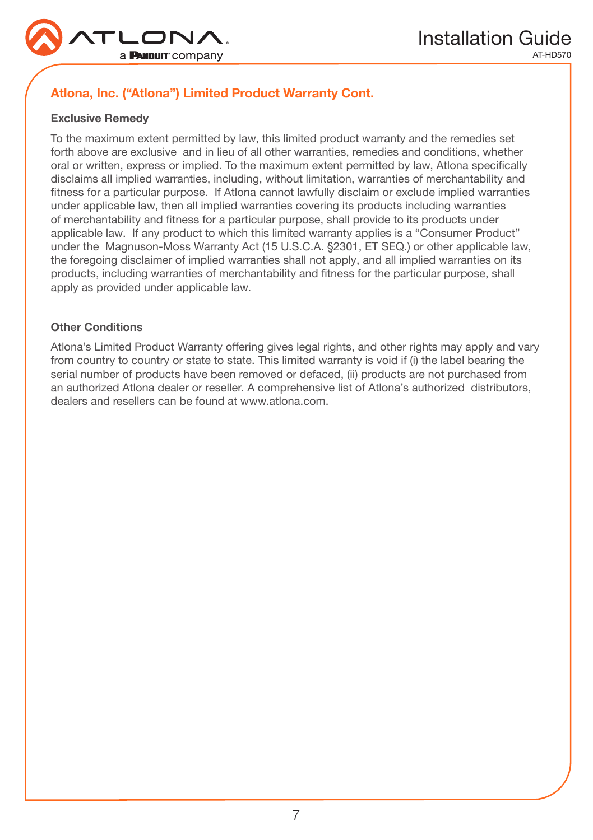

# Atlona, Inc. ("Atlona") Limited Product Warranty Cont.

### Exclusive Remedy

To the maximum extent permitted by law, this limited product warranty and the remedies set forth above are exclusive and in lieu of all other warranties, remedies and conditions, whether oral or written, express or implied. To the maximum extent permitted by law, Atlona specifically disclaims all implied warranties, including, without limitation, warranties of merchantability and fitness for a particular purpose. If Atlona cannot lawfully disclaim or exclude implied warranties under applicable law, then all implied warranties covering its products including warranties of merchantability and fitness for a particular purpose, shall provide to its products under applicable law. If any product to which this limited warranty applies is a "Consumer Product" under the Magnuson-Moss Warranty Act (15 U.S.C.A. §2301, ET SEQ.) or other applicable law, the foregoing disclaimer of implied warranties shall not apply, and all implied warranties on its products, including warranties of merchantability and fitness for the particular purpose, shall apply as provided under applicable law.

#### Other Conditions

Atlona's Limited Product Warranty offering gives legal rights, and other rights may apply and vary from country to country or state to state. This limited warranty is void if (i) the label bearing the serial number of products have been removed or defaced, (ii) products are not purchased from an authorized Atlona dealer or reseller. A comprehensive list of Atlona's authorized distributors, dealers and resellers can be found at www.atlona.com.